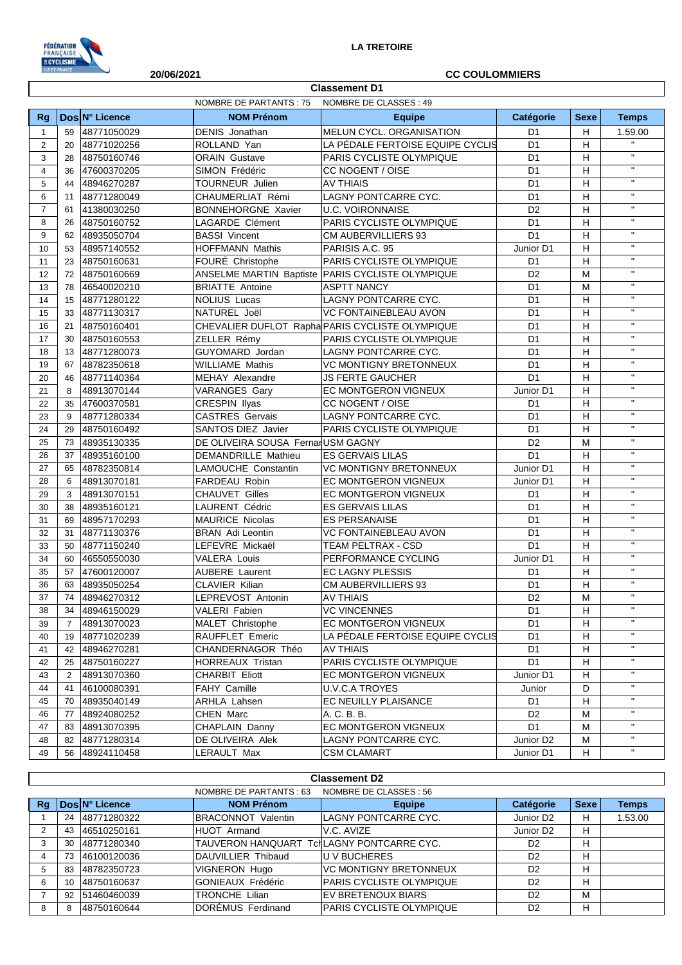

## NOMBRE DE PARTANTS : 75 NOMBRE DE CLASSES : 49 **Classement D1 20/06/2021 CC COULOMMIERS**

| <b>Rg</b>      |                | Dos N° Licence | <b>NOM Prénom</b>                  | <b>Equipe</b>                                      | Catégorie      | <b>Sexe</b> | <b>Temps</b>              |
|----------------|----------------|----------------|------------------------------------|----------------------------------------------------|----------------|-------------|---------------------------|
| $\mathbf{1}$   | 59             | 48771050029    | <b>DENIS</b> Jonathan              | MELUN CYCL. ORGANISATION                           | D <sub>1</sub> | H           | 1.59.00                   |
| $\overline{c}$ | 20             | 48771020256    | ROLLAND Yan                        | LA PÉDALE FERTOISE EQUIPE CYCLIS<br>D <sub>1</sub> |                | H           | $\mathbf{H}$              |
| 3              | 28             | 48750160746    | <b>ORAIN Gustave</b>               | PARIS CYCLISTE OLYMPIQUE                           | D <sub>1</sub> |             | $\mathbf{H}$              |
| $\overline{4}$ | 36             | 47600370205    | SIMON Frédéric                     | CC NOGENT / OISE                                   | D <sub>1</sub> |             | $\mathbf{H}$              |
| 5              | 44             | 48946270287    | TOURNEUR Julien                    | <b>AV THIAIS</b>                                   | D <sub>1</sub> | н           | $\mathbf{H}$              |
| 6              | 11             | 48771280049    | CHAUMERLIAT Rémi                   | LAGNY PONTCARRE CYC.                               | D <sub>1</sub> | H           | $\mathbf{H}$              |
| $\overline{7}$ | 61             | 41380030250    | <b>BONNEHORGNE Xavier</b>          | <b>U.C. VOIRONNAISE</b>                            | D <sub>2</sub> | H           | $\mathbf{H}$              |
| 8              | 26             | 48750160752    | LAGARDE Clément                    | PARIS CYCLISTE OLYMPIQUE                           | D <sub>1</sub> | H           | $\mathbf{H}$              |
| 9              | 62             | 48935050704    | <b>BASSI Vincent</b>               | <b>CM AUBERVILLIERS 93</b>                         | D <sub>1</sub> | H           | $\mathbf{H}$              |
| 10             | 53             | 48957140552    | <b>HOFFMANN Mathis</b>             | PARISIS A.C. 95                                    | Junior D1      | H           | $\mathbf{H}$              |
| 11             | 23             | 48750160631    | FOURÉ Christophe                   | <b>PARIS CYCLISTE OLYMPIQUE</b>                    | D1             | H           | $\mathbf{H}$              |
| 12             | 72             | 48750160669    |                                    | ANSELME MARTIN Baptiste PARIS CYCLISTE OLYMPIQUE   | D <sub>2</sub> | M           | $\mathbf{H}$              |
| 13             | 78             | 46540020210    | <b>BRIATTE Antoine</b>             | <b>ASPTT NANCY</b>                                 | D <sub>1</sub> | M           | $\mathbf{H}$              |
| 14             | 15             | 48771280122    | <b>NOLIUS Lucas</b>                | LAGNY PONTCARRE CYC.                               | D <sub>1</sub> | H           | $\mathbf{H}$              |
| 15             | 33             | 48771130317    | NATUREL Joël                       | <b>VC FONTAINEBLEAU AVON</b>                       | D <sub>1</sub> | H           | $\mathbf{H}$              |
| 16             | 21             | 48750160401    |                                    | CHEVALIER DUFLOT Rapha PARIS CYCLISTE OLYMPIQUE    | D <sub>1</sub> | H           | $\mathbf{H}$              |
| 17             | 30             | 48750160553    | ZELLER Rémy                        | <b>PARIS CYCLISTE OLYMPIQUE</b>                    | D <sub>1</sub> | H           | $\mathbf{H}$              |
| 18             | 13             | 48771280073    | GUYOMARD Jordan                    | LAGNY PONTCARRE CYC.                               | D <sub>1</sub> | H           | $\mathbf{H}$              |
| 19             | 67             | 48782350618    | <b>WILLIAME Mathis</b>             | <b>VC MONTIGNY BRETONNEUX</b>                      | D <sub>1</sub> | H           | $\mathbf{H}$              |
| 20             | 46             | 48771140364    | MEHAY Alexandre                    | <b>JS FERTE GAUCHER</b>                            | D <sub>1</sub> | H           | $\mathbf{H}$              |
| 21             | 8              | 48913070144    | <b>VARANGES Gary</b>               | EC MONTGERON VIGNEUX                               | Junior D1      | н           | $\mathbf{H}$              |
| 22             | 35             | 47600370581    | CRESPIN Ilyas                      | CC NOGENT / OISE                                   | D1             | H           | $\mathbf{H}$              |
| 23             | 9              | 48771280334    | <b>CASTRES Gervais</b>             | <b>LAGNY PONTCARRE CYC.</b>                        | D <sub>1</sub> | H           | $\mathbf{H}$              |
| 24             | 29             | 48750160492    | SANTOS DIEZ Javier                 | <b>PARIS CYCLISTE OLYMPIQUE</b>                    | D <sub>1</sub> | H           | $\mathbf{H}$              |
| 25             | 73             | 48935130335    | DE OLIVEIRA SOUSA Fernar USM GAGNY |                                                    | D <sub>2</sub> | M           | $\mathbf{H}$              |
| 26             | 37             | 48935160100    | DEMANDRILLE Mathieu                | <b>ES GERVAIS LILAS</b>                            | D <sub>1</sub> | н           | $\mathbf{H}$              |
| 27             | 65             | 48782350814    | LAMOUCHE Constantin                | <b>VC MONTIGNY BRETONNEUX</b>                      | Junior D1      | H           | $\mathbf{H}$              |
| 28             | 6              | 48913070181    | FARDEAU Robin                      | <b>EC MONTGERON VIGNEUX</b>                        | Junior D1      | H           | $\mathbf{H}$              |
| 29             | 3              | 48913070151    | <b>CHAUVET Gilles</b>              | EC MONTGERON VIGNEUX                               | D1             | H           | $\mathbf{H}$              |
| 30             | 38             | 48935160121    | LAURENT Cédric                     | <b>ES GERVAIS LILAS</b>                            | D <sub>1</sub> | H           | $\mathbf{H}$              |
| 31             | 69             | 48957170293    | <b>MAURICE Nicolas</b>             | <b>ES PERSANAISE</b>                               | D <sub>1</sub> | H           | $\mathbf{H}$              |
| 32             | 31             | 48771130376    | <b>BRAN</b> Adi Leontin            | <b>VC FONTAINEBLEAU AVON</b>                       | D <sub>1</sub> | H           | $\mathbf{H}$              |
| 33             | 50             | 48771150240    | LEFEVRE Mickaël                    | TEAM PELTRAX - CSD                                 | D <sub>1</sub> | H           | $\mathbf{H}$              |
| 34             | 60             | 46550550030    | <b>VALERA Louis</b>                | PERFORMANCE CYCLING                                | Junior D1      | H           | $\mathbf{H}$              |
| 35             | 57             | 47600120007    | <b>AUBERE</b> Laurent              | <b>EC LAGNY PLESSIS</b>                            | D <sub>1</sub> | H           | $\mathbf{H}$              |
| 36             | 63             | 48935050254    | <b>CLAVIER Kilian</b>              | CM AUBERVILLIERS 93                                | D <sub>1</sub> | H           | $\mathbf{H}$              |
| 37             | 74             | 48946270312    | LEPREVOST Antonin                  | <b>AV THIAIS</b>                                   | D <sub>2</sub> | M           | $\mathbf{u}$              |
| 38             | 34             | 48946150029    | <b>VALERI Fabien</b>               | <b>VC VINCENNES</b>                                | D <sub>1</sub> | H           | $\mathbf{H}$              |
| 39             | $\overline{7}$ | 48913070023    | MALET Christophe                   | <b>EC MONTGERON VIGNEUX</b>                        | D <sub>1</sub> | H           | $\mathbf{H}$              |
| 40             | 19             | 48771020239    | RAUFFLET Emeric                    | LA PÉDALE FERTOISE EQUIPE CYCLIS                   | D1             | H.          | $\mathbf{H}$              |
| 41             | 42             | 48946270281    | CHANDERNAGOR Théo                  | AV THIAIS                                          | D1             | H           |                           |
| 42             | 25             | 48750160227    | HORREAUX Tristan                   | PARIS CYCLISTE OLYMPIQUE                           | D <sub>1</sub> | н           | $\mathbf{H}$              |
| 43             | 2              | 48913070360    | <b>CHARBIT Eliott</b>              | EC MONTGERON VIGNEUX                               | Junior D1      | н           | $\mathbf{H}$ .            |
| 44             | 41             | 46100080391    | FAHY Camille                       | <b>U.V.C.A TROYES</b>                              | Junior         | D           | $\mathbf{H}$ .            |
| 45             | 70             | 48935040149    | ARHLA Lahsen                       | EC NEUILLY PLAISANCE                               | D1             | н           | $\mathbf{H}$ .            |
| 46             | 77             | 48924080252    | CHEN Marc                          | A. C. B. B.                                        | D <sub>2</sub> | М           | $\mathbf{H}$              |
| 47             | 83             | 48913070395    | CHAPLAIN Danny                     | EC MONTGERON VIGNEUX                               | D <sub>1</sub> | м           | $\mathbf{H}$              |
| 48             | 82             | 48771280314    | DE OLIVEIRA Alek                   | LAGNY PONTCARRE CYC.                               | Junior D2      | м           | $\mathbf{H}_{\mathrm{c}}$ |
| 49             | 56             | 48924110458    | LERAULT Max                        | <b>CSM CLAMART</b>                                 | Junior D1      | H.          | $\mathbf{H}_\mathrm{c}$   |
|                |                |                |                                    |                                                    |                |             |                           |

|    | <b>Classement D2</b>                              |                |                           |                               |                       |             |              |  |  |  |
|----|---------------------------------------------------|----------------|---------------------------|-------------------------------|-----------------------|-------------|--------------|--|--|--|
|    | NOMBRE DE CLASSES : 56<br>NOMBRE DE PARTANTS : 63 |                |                           |                               |                       |             |              |  |  |  |
| Rq |                                                   | Dos N° Licence | <b>NOM Prénom</b>         | <b>Equipe</b>                 | Catégorie             | <b>Sexe</b> | <b>Temps</b> |  |  |  |
|    | 24                                                | 48771280322    | <b>BRACONNOT Valentin</b> | ILAGNY PONTCARRE CYC.         | Junior D <sub>2</sub> | н           | 1.53.00      |  |  |  |
|    | 43                                                | 46510250161    | HUOT Armand               | IV.C. AVIZE                   | Junior D <sub>2</sub> | H           |              |  |  |  |
| 3  | 30                                                | 48771280340    | TAUVERON HANQUART         | TclLAGNY PONTCARRE CYC.       | D <sub>2</sub>        | н           |              |  |  |  |
| 4  | 73                                                | 46100120036    | DAUVILLIER Thibaud        | IU V BUCHERES                 | D <sub>2</sub>        | н           |              |  |  |  |
| 5  | 83                                                | 48782350723    | <b>VIGNERON Hugo</b>      | <b>VC MONTIGNY BRETONNEUX</b> | D <sub>2</sub>        | н           |              |  |  |  |
| 6  | 10                                                | 48750160637    | GONIEAUX Frédéric         | PARIS CYCLISTE OLYMPIQUE      | D <sub>2</sub>        | н           |              |  |  |  |
|    | 92                                                | 51460460039    | TRONCHE Lilian            | IEV BRETENOUX BIARS           | D <sub>2</sub>        | M           |              |  |  |  |
| 8  | 8                                                 | 48750160644    | DOREMUS Ferdinand         | PARIS CYCLISTE OLYMPIQUE      | D <sub>2</sub>        | н           |              |  |  |  |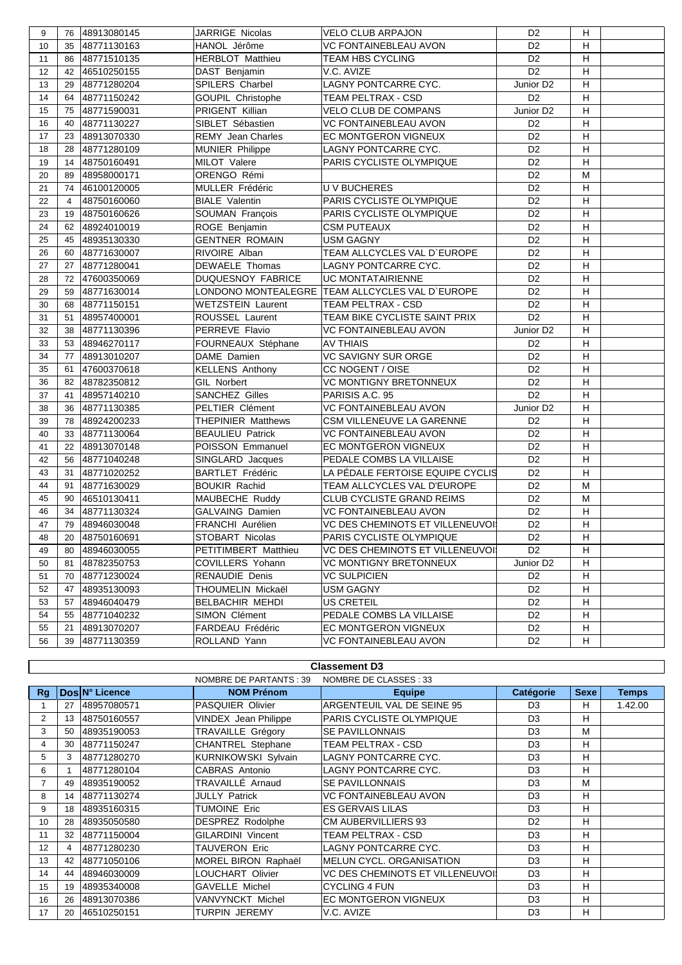| 9  | 76             | 48913080145    | <b>JARRIGE Nicolas</b>    | VELO CLUB ARPAJON                               | D <sub>2</sub>        | н |  |
|----|----------------|----------------|---------------------------|-------------------------------------------------|-----------------------|---|--|
| 10 | 35             | 48771130163    | HANOL Jérôme              | <b>VC FONTAINEBLEAU AVON</b><br>D <sub>2</sub>  |                       | н |  |
| 11 |                | 86 48771510135 | <b>HERBLOT Matthieu</b>   | D <sub>2</sub><br><b>TEAM HBS CYCLING</b>       |                       | H |  |
| 12 |                | 42 46510250155 | DAST Benjamin             | V.C. AVIZE                                      | D <sub>2</sub>        | н |  |
| 13 | 29             | 48771280204    | SPILERS Charbel           | LAGNY PONTCARRE CYC.                            | Junior D <sub>2</sub> | н |  |
| 14 | 64             | 48771150242    | GOUPIL Christophe         | TEAM PELTRAX - CSD                              | D <sub>2</sub>        | H |  |
| 15 | 75             | 48771590031    | PRIGENT Killian           | <b>VELO CLUB DE COMPANS</b>                     | Junior D <sub>2</sub> | н |  |
| 16 | 40             | 48771130227    | SIBLET Sébastien          | <b>VC FONTAINEBLEAU AVON</b>                    | D <sub>2</sub>        | н |  |
| 17 | 23             | 48913070330    | <b>REMY Jean Charles</b>  | EC MONTGERON VIGNEUX                            | D <sub>2</sub>        | H |  |
| 18 | 28             | 48771280109    | <b>MUNIER Philippe</b>    | LAGNY PONTCARRE CYC.                            | D <sub>2</sub>        | H |  |
| 19 | 14             | 48750160491    | MILOT Valere              | PARIS CYCLISTE OLYMPIQUE                        | D <sub>2</sub>        | H |  |
| 20 | 89             | 48958000171    | ORENGO Rémi               |                                                 | D <sub>2</sub>        | М |  |
| 21 |                | 74 46100120005 | MULLER Frédéric           | <b>UV BUCHERES</b>                              | D <sub>2</sub>        | н |  |
| 22 | $\overline{4}$ | 48750160060    | <b>BIALE Valentin</b>     | PARIS CYCLISTE OLYMPIQUE                        | D <sub>2</sub>        | н |  |
| 23 | 19             | 48750160626    | SOUMAN François           | PARIS CYCLISTE OLYMPIQUE                        | D <sub>2</sub>        | H |  |
| 24 | 62             | 48924010019    | ROGE Benjamin             | <b>CSM PUTEAUX</b>                              | D <sub>2</sub>        | H |  |
| 25 | 45             | 48935130330    | <b>GENTNER ROMAIN</b>     | <b>USM GAGNY</b>                                | D <sub>2</sub>        | H |  |
| 26 | 60             | 48771630007    | RIVOIRE Alban             | TEAM ALLCYCLES VAL D'EUROPE                     | D <sub>2</sub>        | H |  |
| 27 | 27             | 48771280041    | DEWAELE Thomas            | LAGNY PONTCARRE CYC.                            | D <sub>2</sub>        | H |  |
| 28 |                | 72 47600350069 | DUQUESNOY FABRICE         | <b>UC MONTATAIRIENNE</b>                        | D <sub>2</sub>        | н |  |
| 29 | 59             | 48771630014    |                           | LONDONO MONTEALEGRE TEAM ALLCYCLES VAL D'EUROPE | D <sub>2</sub>        | Н |  |
| 30 | 68             | 48771150151    | <b>WETZSTEIN Laurent</b>  | TEAM PELTRAX - CSD                              | D <sub>2</sub>        | H |  |
| 31 | 51             | 48957400001    | ROUSSEL Laurent           | TEAM BIKE CYCLISTE SAINT PRIX                   | D <sub>2</sub>        | н |  |
| 32 | 38             | 48771130396    | PERREVE Flavio            | <b>VC FONTAINEBLEAU AVON</b>                    | Junior D <sub>2</sub> | Н |  |
| 33 | 53             | 48946270117    | FOURNEAUX Stéphane        | <b>AV THIAIS</b>                                | D <sub>2</sub>        | н |  |
| 34 | 77             | 48913010207    | DAME Damien               | VC SAVIGNY SUR ORGE                             | D <sub>2</sub>        | H |  |
| 35 | 61             | 47600370618    | <b>KELLENS Anthony</b>    | CC NOGENT / OISE                                | D <sub>2</sub>        | н |  |
| 36 | 82             | 48782350812    | <b>GIL Norbert</b>        | <b>VC MONTIGNY BRETONNEUX</b>                   | D <sub>2</sub>        | H |  |
| 37 | 41             | 48957140210    | <b>SANCHEZ Gilles</b>     | PARISIS A.C. 95                                 | D <sub>2</sub>        | H |  |
| 38 | 36             | 48771130385    | PELTIER Clément           | VC FONTAINEBLEAU AVON                           | Junior D2             | H |  |
| 39 | 78             | 48924200233    | <b>THEPINIER Matthews</b> | CSM VILLENEUVE LA GARENNE                       | D <sub>2</sub>        | н |  |
| 40 | 33             | 48771130064    | <b>BEAULIEU Patrick</b>   | VC FONTAINEBLEAU AVON                           | D <sub>2</sub>        | H |  |
| 41 | 22             | 48913070148    | POISSON Emmanuel          | EC MONTGERON VIGNEUX                            | D <sub>2</sub>        | H |  |
| 42 | 56             | 48771040248    | SINGLARD Jacques          | PEDALE COMBS LA VILLAISE                        | D <sub>2</sub>        | H |  |
| 43 | 31             | 48771020252    | <b>BARTLET Frédéric</b>   | LA PÉDALE FERTOISE EQUIPE CYCLIS                | D <sub>2</sub>        | H |  |
| 44 | 91             | 48771630029    | <b>BOUKIR Rachid</b>      | TEAM ALLCYCLES VAL D'EUROPE                     | D <sub>2</sub>        | M |  |
| 45 |                | 90 46510130411 | MAUBECHE Ruddy            | CLUB CYCLISTE GRAND REIMS                       | D <sub>2</sub>        | M |  |
| 46 | 34             | 48771130324    | <b>GALVAING Damien</b>    | VC FONTAINEBLEAU AVON                           | D <sub>2</sub>        | H |  |
| 47 | 79             | 48946030048    | FRANCHI Aurélien          | VC DES CHEMINOTS ET VILLENEUVOI                 | D <sub>2</sub>        | H |  |
| 48 |                | 20 48750160691 | STOBART Nicolas           | PARIS CYCLISTE OLYMPIQUE                        | D <sub>2</sub>        | H |  |
| 49 | 80             | 48946030055    | PETITIMBERT Matthieu      | VC DES CHEMINOTS ET VILLENEUVOI                 | D <sub>2</sub>        | H |  |
| 50 | 81             | 48782350753    | COVILLERS Yohann          | <b>VC MONTIGNY BRETONNEUX</b>                   | Junior D2             | н |  |
| 51 | 70             | 48771230024    | RENAUDIE Denis            | <b>VC SULPICIEN</b>                             | D <sub>2</sub>        | H |  |
| 52 | 47             | 48935130093    | THOUMELIN Mickaël         | <b>USM GAGNY</b>                                | D <sub>2</sub>        | H |  |
| 53 | 57             | 48946040479    | BELBACHIR MEHDI           | <b>US CRETEIL</b>                               | D <sub>2</sub>        | H |  |
| 54 | 55             | 48771040232    | <b>SIMON Clément</b>      | PEDALE COMBS LA VILLAISE                        | D <sub>2</sub>        | H |  |
| 55 | 21             | 48913070207    | FARDEAU Frédéric          | EC MONTGERON VIGNEUX                            | D <sub>2</sub>        | H |  |
| 56 |                | 39 48771130359 | ROLLAND Yann              | <b>VC FONTAINEBLEAU AVON</b>                    | D <sub>2</sub>        | H |  |

|                | <b>Classement D3</b>                              |                |                          |                                        |                |   |         |  |  |
|----------------|---------------------------------------------------|----------------|--------------------------|----------------------------------------|----------------|---|---------|--|--|
|                | NOMBRE DE PARTANTS : 39<br>NOMBRE DE CLASSES : 33 |                |                          |                                        |                |   |         |  |  |
| Rg             |                                                   | Dos N° Licence | <b>NOM Prénom</b>        | <b>Equipe</b>                          | <b>Temps</b>   |   |         |  |  |
|                | 27                                                | 48957080571    | PASQUIER Olivier         | ARGENTEUIL VAL DE SEINE 95             | D <sub>3</sub> | н | 1.42.00 |  |  |
| $\overline{2}$ | 13                                                | 48750160557    | VINDEX Jean Philippe     | PARIS CYCLISTE OLYMPIQUE               | D <sub>3</sub> | н |         |  |  |
| 3              | 50                                                | 48935190053    | TRAVAILLE Grégory        | <b>SE PAVILLONNAIS</b>                 | D <sub>3</sub> | M |         |  |  |
| $\overline{4}$ | 30                                                | 48771150247    | CHANTREL Stephane        | TEAM PELTRAX - CSD                     | D <sub>3</sub> | н |         |  |  |
| 5              | 3                                                 | 48771280270    | KURNIKOWSKI Sylvain      | LAGNY PONTCARRE CYC.                   | D <sub>3</sub> | н |         |  |  |
| 6              |                                                   | 48771280104    | CABRAS Antonio           | LAGNY PONTCARRE CYC.                   | D <sub>3</sub> | H |         |  |  |
| $\overline{7}$ | 49                                                | 48935190052    | TRAVAILLÉ Arnaud         | <b>SE PAVILLONNAIS</b>                 | D <sub>3</sub> | M |         |  |  |
| 8              | 14                                                | 48771130274    | <b>JULLY Patrick</b>     | <b>VC FONTAINEBLEAU AVON</b>           | D <sub>3</sub> | н |         |  |  |
| 9              | 18                                                | 48935160315    | <b>TUMOINE Eric</b>      | <b>ES GERVAIS LILAS</b>                | D <sub>3</sub> | H |         |  |  |
| 10             | 28                                                | 48935050580    | DESPREZ Rodolphe         | <b>CM AUBERVILLIERS 93</b>             | D <sub>2</sub> | н |         |  |  |
| 11             | 32                                                | 48771150004    | <b>GILARDINI Vincent</b> | TEAM PELTRAX - CSD                     | D <sub>3</sub> | н |         |  |  |
| 12             | 4                                                 | 48771280230    | <b>TAUVERON Eric</b>     | LAGNY PONTCARRE CYC.                   | D <sub>3</sub> | H |         |  |  |
| 13             | 42                                                | 48771050106    | MOREL BIRON Raphaël      | <b>MELUN CYCL, ORGANISATION</b>        | D <sub>3</sub> | н |         |  |  |
| 14             | 44                                                | 48946030009    | LOUCHART Olivier         | <b>VC DES CHEMINOTS ET VILLENEUVOI</b> | D <sub>3</sub> | н |         |  |  |
| 15             | 19                                                | 48935340008    | <b>GAVELLE Michel</b>    | <b>CYCLING 4 FUN</b>                   | D <sub>3</sub> | н |         |  |  |
| 16             | 26                                                | 48913070386    | VANVYNCKT Michel         | EC MONTGERON VIGNEUX                   | D <sub>3</sub> | н |         |  |  |
| 17             | 20                                                | 46510250151    | <b>TURPIN JEREMY</b>     | V.C. AVIZE                             | D <sub>3</sub> | н |         |  |  |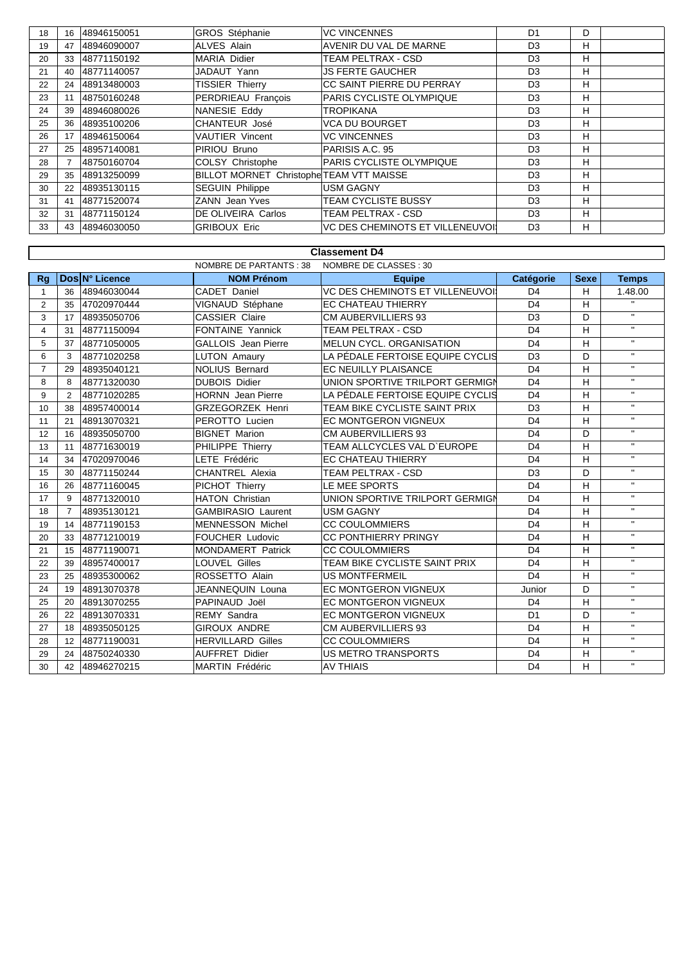| 18 | 16  | 48946150051 | <b>GROS Stéphanie</b>                           | <b>VC VINCENNES</b>                     | D <sub>1</sub> | D |  |
|----|-----|-------------|-------------------------------------------------|-----------------------------------------|----------------|---|--|
| 19 | 47  | 48946090007 | ALVES Alain                                     | AVENIR DU VAL DE MARNE                  | D <sub>3</sub> | н |  |
| 20 | 33  | 48771150192 | MARIA Didier                                    | TEAM PELTRAX - CSD                      | D <sub>3</sub> | н |  |
| 21 | 40  | 48771140057 | JADAUT Yann                                     | <b>JS FERTE GAUCHER</b>                 | D <sub>3</sub> | н |  |
| 22 | 24  | 48913480003 | <b>TISSIER Thierry</b>                          | CC SAINT PIERRE DU PERRAY               | D <sub>3</sub> | н |  |
| 23 |     | 48750160248 | PERDRIEAU François                              | <b>PARIS CYCLISTE OLYMPIQUE</b>         | D <sub>3</sub> | н |  |
| 24 | 39  | 48946080026 | NANESIE Eddy                                    | <b>TROPIKANA</b>                        | D <sub>3</sub> | н |  |
| 25 | 36  | 48935100206 | CHANTEUR José                                   | <b>VCA DU BOURGET</b>                   | D <sub>3</sub> | н |  |
| 26 | 17  | 48946150064 | <b>VAUTIER Vincent</b>                          | <b>VC VINCENNES</b>                     | D <sub>3</sub> | H |  |
| 27 | 25  | 48957140081 | PIRIOU Bruno                                    | PARISIS A.C. 95                         | D <sub>3</sub> | н |  |
| 28 |     | 48750160704 | COLSY Christophe                                | <b>PARIS CYCLISTE OLYMPIQUE</b>         | D <sub>3</sub> | н |  |
| 29 | 35  | 48913250099 | <b>BILLOT MORNET Christophe TEAM VTT MAISSE</b> |                                         | D <sub>3</sub> | н |  |
| 30 | 22  | 48935130115 | <b>SEGUIN Philippe</b>                          | <b>USM GAGNY</b>                        | D <sub>3</sub> | н |  |
| 31 | -41 | 48771520074 | <b>ZANN</b> Jean Yves                           | <b>TEAM CYCLISTE BUSSY</b>              | D <sub>3</sub> | н |  |
| 32 | 31  | 48771150124 | <b>DE OLIVEIRA Carlos</b>                       | TEAM PELTRAX - CSD                      | D <sub>3</sub> | н |  |
| 33 | 43  | 48946030050 | <b>GRIBOUX Eric</b>                             | <b>VC DES CHEMINOTS ET VILLENEUVOII</b> | D <sub>3</sub> | н |  |

|                | <b>Classement D4</b>                                   |                |                            |                                      |                |             |                |  |  |  |
|----------------|--------------------------------------------------------|----------------|----------------------------|--------------------------------------|----------------|-------------|----------------|--|--|--|
|                | <b>NOMBRE DE PARTANTS: 38</b><br>NOMBRE DE CLASSES: 30 |                |                            |                                      |                |             |                |  |  |  |
| <b>Rg</b>      |                                                        | Dos N° Licence | <b>NOM Prénom</b>          | <b>Equipe</b>                        | Catégorie      | <b>Sexe</b> | <b>Temps</b>   |  |  |  |
| $\mathbf{1}$   | 36                                                     | 48946030044    | CADET Daniel               | VC DES CHEMINOTS ET VILLENEUVOI      | D <sub>4</sub> | H           | 1.48.00        |  |  |  |
| $\overline{2}$ | 35                                                     | 47020970444    | VIGNAUD Stéphane           | <b>EC CHATEAU THIERRY</b>            | D <sub>4</sub> | н           | $\mathbf{H}$ . |  |  |  |
| 3              | 17                                                     | 48935050706    | <b>CASSIER Claire</b>      | <b>CM AUBERVILLIERS 93</b>           | D <sub>3</sub> | D           | $\mathbf{H}$ . |  |  |  |
| $\overline{4}$ | 31                                                     | 48771150094    | <b>FONTAINE Yannick</b>    | TEAM PELTRAX - CSD                   | D <sub>4</sub> | H           | $\mathbf{H}$   |  |  |  |
| 5              | 37                                                     | 48771050005    | <b>GALLOIS</b> Jean Pierre | MELUN CYCL, ORGANISATION             | D <sub>4</sub> | Η           | $\mathbf{H}$ . |  |  |  |
| 6              | 3                                                      | 48771020258    | <b>LUTON Amaury</b>        | LA PÉDALE FERTOISE EQUIPE CYCLIS     | D <sub>3</sub> | D           | $\mathbf{H}$   |  |  |  |
| $\overline{7}$ | 29                                                     | 48935040121    | <b>NOLIUS Bernard</b>      | <b>EC NEUILLY PLAISANCE</b>          | D <sub>4</sub> | H           | $\mathbf{H}$   |  |  |  |
| 8              | 8                                                      | 48771320030    | <b>DUBOIS Didier</b>       | UNION SPORTIVE TRILPORT GERMIGN      | D <sub>4</sub> | H           | $\mathbf{H}$   |  |  |  |
| 9              | 2                                                      | 48771020285    | <b>HORNN</b> Jean Pierre   | LA PÉDALE FERTOISE EQUIPE CYCLIS     | D <sub>4</sub> | H           | $\mathbf{H}$ . |  |  |  |
| 10             | 38                                                     | 48957400014    | <b>GRZEGORZEK Henri</b>    | TEAM BIKE CYCLISTE SAINT PRIX        | D <sub>3</sub> | H           | $\mathbf{H}$   |  |  |  |
| 11             | 21                                                     | 48913070321    | PEROTTO Lucien             | EC MONTGERON VIGNEUX                 | D <sub>4</sub> | H           | $\mathbf{H}$ . |  |  |  |
| 12             | 16                                                     | 48935050700    | <b>BIGNET Marion</b>       | CM AUBERVILLIERS 93                  | D <sub>4</sub> | D           | $\mathbf{H}$ . |  |  |  |
| 13             | 11                                                     | 48771630019    | PHILIPPE Thierry           | TEAM ALLCYCLES VAL D'EUROPE          | D <sub>4</sub> | H           | $\mathbf{H}$ . |  |  |  |
| 14             | 34                                                     | 47020970046    | LETE Frédéric              | <b>EC CHATEAU THIERRY</b>            | D <sub>4</sub> | H           | $\mathbf{H}$   |  |  |  |
| 15             | 30                                                     | 48771150244    | CHANTREL Alexia            | TEAM PELTRAX - CSD<br>D <sub>3</sub> |                | D           | $\mathbf{H}$   |  |  |  |
| 16             | 26                                                     | 48771160045    | PICHOT Thierry             | LE MEE SPORTS                        | D <sub>4</sub> | н           | $\mathbf{H}$   |  |  |  |
| 17             | 9                                                      | 48771320010    | <b>HATON Christian</b>     | UNION SPORTIVE TRILPORT GERMIGN      | D <sub>4</sub> | H           | $\mathbf{H}$   |  |  |  |
| 18             | $\overline{7}$                                         | 48935130121    | <b>GAMBIRASIO Laurent</b>  | USM GAGNY                            | D <sub>4</sub> | H           | $\mathbf{H}$ . |  |  |  |
| 19             | 14                                                     | 48771190153    | <b>MENNESSON Michel</b>    | <b>CC COULOMMIERS</b>                | D <sub>4</sub> | H           | $\mathbf{H}$ . |  |  |  |
| 20             | 33                                                     | 48771210019    | <b>FOUCHER Ludovic</b>     | <b>CC PONTHIERRY PRINGY</b>          | D <sub>4</sub> | H           | $\mathbf{H}$ . |  |  |  |
| 21             | 15                                                     | 48771190071    | <b>MONDAMERT Patrick</b>   | <b>CC COULOMMIERS</b>                | D <sub>4</sub> | H           | $\mathbf{u}$   |  |  |  |
| 22             | 39                                                     | 48957400017    | <b>LOUVEL Gilles</b>       | TEAM BIKE CYCLISTE SAINT PRIX        | D <sub>4</sub> | H           | $\mathbf{u}$   |  |  |  |
| 23             | 25                                                     | 48935300062    | ROSSETTO Alain             | <b>US MONTFERMEIL</b>                | D <sub>4</sub> | H           | $\mathbf{H}$   |  |  |  |
| 24             | 19                                                     | 48913070378    | JEANNEQUIN Louna           | <b>EC MONTGERON VIGNEUX</b>          | Junior         | D           | $\mathbf{H}$ . |  |  |  |
| 25             | 20                                                     | 48913070255    | PAPINAUD Joël              | <b>EC MONTGERON VIGNEUX</b>          | D <sub>4</sub> | H           | $\mathbf{H}$ . |  |  |  |
| 26             | 22                                                     | 48913070331    | <b>REMY Sandra</b>         | <b>EC MONTGERON VIGNEUX</b>          | D <sub>1</sub> | D           | $\mathbf{H}$ . |  |  |  |
| 27             | 18                                                     | 48935050125    | <b>GIROUX ANDRE</b>        | <b>CM AUBERVILLIERS 93</b>           | D <sub>4</sub> | H           | $\mathbf{H}$   |  |  |  |
| 28             | 12                                                     | 48771190031    | <b>HERVILLARD Gilles</b>   | <b>CC COULOMMIERS</b>                | D <sub>4</sub> | н           | $\mathbf{H}$ . |  |  |  |
| 29             | 24                                                     | 48750240330    | <b>AUFFRET Didier</b>      | <b>US METRO TRANSPORTS</b>           | D <sub>4</sub> | H           | $\mathbf{H}$   |  |  |  |
| 30             | 42                                                     | 48946270215    | <b>MARTIN Frédéric</b>     | <b>AV THIAIS</b>                     | D <sub>4</sub> | H           | $\mathbf{H}$ . |  |  |  |